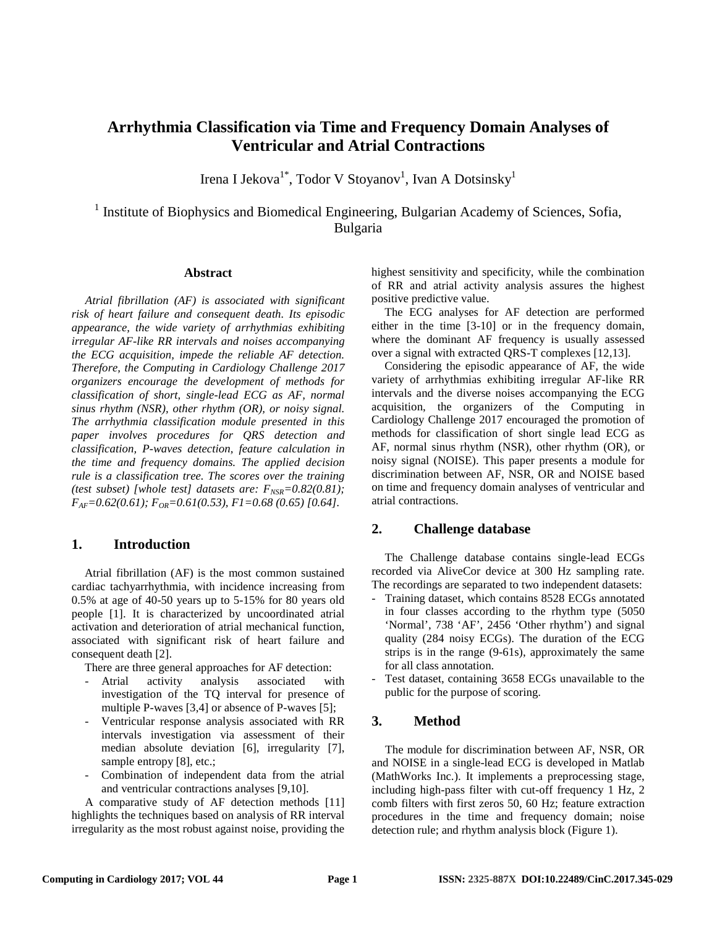# **Arrhythmia Classification via Time and Frequency Domain Analyses of Ventricular and Atrial Contractions**

Irena I Jekova $^{1*}$ , Todor V Stoyanov<sup>1</sup>, Ivan A Dotsinsky<sup>1</sup>

<sup>1</sup> Institute of Biophysics and Biomedical Engineering, Bulgarian Academy of Sciences, Sofia, Bulgaria

### **Abstract**

*Atrial fibrillation (AF) is associated with significant risk of heart failure and consequent death. Its episodic appearance, the wide variety of arrhythmias exhibiting irregular AF-like RR intervals and noises accompanying the ECG acquisition, impede the reliable AF detection. Therefore, the Computing in Cardiology Challenge 2017 organizers encourage the development of methods for classification of short, single-lead ECG as AF, normal sinus rhythm (NSR), other rhythm (OR), or noisy signal. The arrhythmia classification module presented in this paper involves procedures for QRS detection and classification, P-waves detection, feature calculation in the time and frequency domains. The applied decision rule is a classification tree. The scores over the training (test subset) [whole test] datasets are:*  $F_{NSR} = 0.82(0.81)$ ; *FAF=0.62(0.61); FOR=0.61(0.53), F1=0.68 (0.65) [0.64].*

# **1. Introduction**

Atrial fibrillation (AF) is the most common sustained cardiac tachyarrhythmia, with incidence increasing from 0.5% at age of 40-50 years up to 5-15% for 80 years old people [1]. It is characterized by uncoordinated atrial activation and deterioration of atrial mechanical function, associated with significant risk of heart failure and consequent death [2].

There are three general approaches for AF detection:

- Atrial activity analysis associated with investigation of the TQ interval for presence of multiple P-waves [3,4] or absence of P-waves [5];
- Ventricular response analysis associated with RR intervals investigation via assessment of their median absolute deviation [6], irregularity [7], sample entropy [8], etc.;
- Combination of independent data from the atrial and ventricular contractions analyses [9,10].

A comparative study of AF detection methods [11] highlights the techniques based on analysis of RR interval irregularity as the most robust against noise, providing the highest sensitivity and specificity, while the combination of RR and atrial activity analysis assures the highest positive predictive value.

The ECG analyses for AF detection are performed either in the time [3-10] or in the frequency domain, where the dominant AF frequency is usually assessed over a signal with extracted QRS-T complexes [12,13].

Considering the episodic appearance of AF, the wide variety of arrhythmias exhibiting irregular AF-like RR intervals and the diverse noises accompanying the ECG acquisition, the organizers of the Computing in Cardiology Challenge 2017 encouraged the promotion of methods for classification of short single lead ECG as AF, normal sinus rhythm (NSR), other rhythm (OR), or noisy signal (NOISE). This paper presents a module for discrimination between AF, NSR, OR and NOISE based on time and frequency domain analyses of ventricular and atrial contractions.

# **2. Challenge database**

The Challenge database contains single-lead ECGs recorded via AliveCor device at 300 Hz sampling rate. The recordings are separated to two independent datasets:

- Training dataset, which contains 8528 ECGs annotated in four classes according to the rhythm type (5050 'Normal', 738 'AF', 2456 'Other rhythm') and signal quality (284 noisy ECGs). The duration of the ECG strips is in the range (9-61s), approximately the same for all class annotation.
- Test dataset, containing 3658 ECGs unavailable to the public for the purpose of scoring.

# **3. Method**

The module for discrimination between AF, NSR, OR and NOISE in a single-lead ECG is developed in Matlab (MathWorks Inc.). It implements a preprocessing stage, including high-pass filter with cut-off frequency 1 Hz, 2 comb filters with first zeros 50, 60 Hz; feature extraction procedures in the time and frequency domain; noise detection rule; and rhythm analysis block (Figure 1).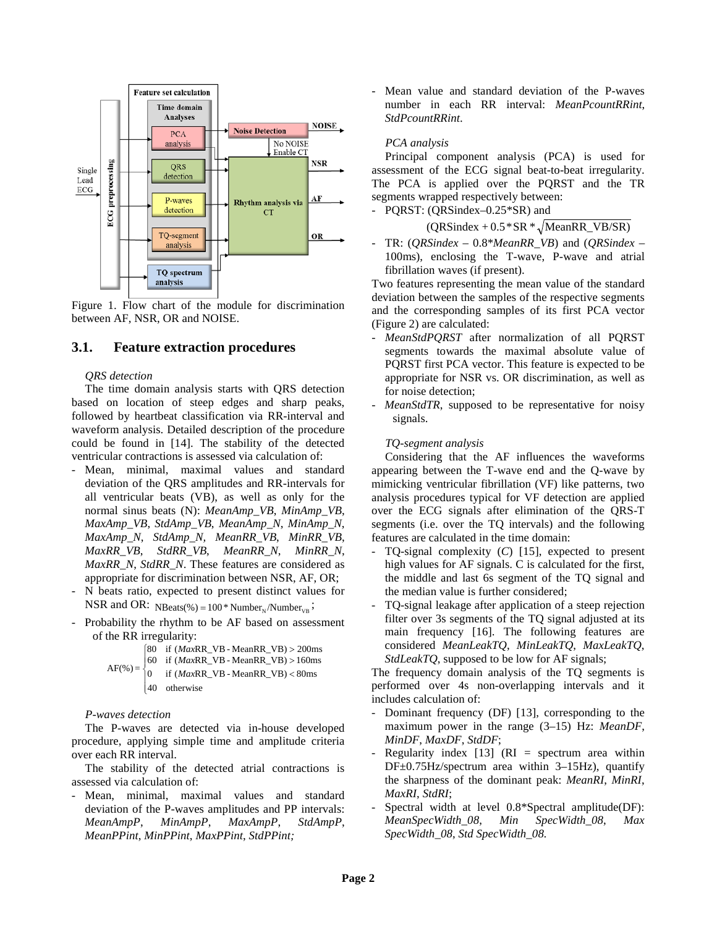

Figure 1. Flow chart of the module for discrimination between AF, NSR, OR and NOISE.

# **3.1. Feature extraction procedures**

#### *QRS detection*

The time domain analysis starts with QRS detection based on location of steep edges and sharp peaks, followed by heartbeat classification via RR-interval and waveform analysis. Detailed description of the procedure could be found in [14]. The stability of the detected ventricular contractions is assessed via calculation of:

- Mean, minimal, maximal values and standard deviation of the QRS amplitudes and RR-intervals for all ventricular beats (VB), as well as only for the normal sinus beats (N): *MeanAmp\_VB*, *MinAmp\_VB*, *MaxAmp\_VB*, *StdAmp\_VB*, *MeanAmp\_N*, *MinAmp\_N*, *MaxAmp\_N*, *StdAmp\_N, MeanRR\_VB*, *MinRR\_VB*, *MaxRR\_VB*, *StdRR\_VB*, *MeanRR\_N*, *MinRR\_N*, *MaxRR\_N*, *StdRR\_N*. These features are considered as appropriate for discrimination between NSR, AF, OR;
- N beats ratio, expected to present distinct values for NSR and OR:  $N\text{Beats}(\%) = 100 * \text{Number}_N/\text{Number}_{VB};$
- Probability the rhythm to be AF based on assessment of the RR irregularity:

$$
AF(\%) = \begin{cases} 80 & \text{if } (MaxRR\_VB - MeanRR\_VB) > 200 \text{ms} \\ 60 & \text{if } (MaxRR\_VB - MeanRR\_VB) > 160 \text{ms} \\ 0 & \text{if } (MaxRR\_VB - MeanRR\_VB) < 80 \text{ms} \\ 40 & \text{otherwise} \end{cases}
$$

#### *P-waves detection*

The P-waves are detected via in-house developed procedure, applying simple time and amplitude criteria over each RR interval.

The stability of the detected atrial contractions is assessed via calculation of:

Mean, minimal, maximal values and standard deviation of the P-waves amplitudes and PP intervals: *MeanAmpP*, *MinAmpP*, *MaxAmpP*, *StdAmpP*, *MeanPPint*, *MinPPint*, *MaxPPint*, *StdPPint;*

- Mean value and standard deviation of the P-waves number in each RR interval: *MeanPcountRRint*, *StdPcountRRint*.

#### *PCA analysis*

Principal component analysis (PCA) is used for assessment of the ECG signal beat-to-beat irregularity. The PCA is applied over the PQRST and the TR segments wrapped respectively between:

PQRST: (QRSindex–0.25\*SR) and

 $(QRSindex + 0.5 * SR * \sqrt{MeanRR_VB/SR)}$ 

- TR: (*QRSindex* – 0.8\**MeanRR\_VB*) and (*QRSindex* – 100ms), enclosing the T-wave, P-wave and atrial fibrillation waves (if present).

Two features representing the mean value of the standard deviation between the samples of the respective segments and the corresponding samples of its first PCA vector (Figure 2) are calculated:

- MeanStdPQRST after normalization of all PQRST segments towards the maximal absolute value of PQRST first PCA vector. This feature is expected to be appropriate for NSR vs. OR discrimination, as well as for noise detection;
- MeanStdTR, supposed to be representative for noisy signals.

#### *TQ-segment analysis*

Considering that the AF influences the waveforms appearing between the T-wave end and the Q-wave by mimicking ventricular fibrillation (VF) like patterns, two analysis procedures typical for VF detection are applied over the ECG signals after elimination of the QRS-T segments (i.e. over the TQ intervals) and the following features are calculated in the time domain:

- TQ-signal complexity (*C*) [15], expected to present high values for AF signals. C is calculated for the first, the middle and last 6s segment of the TQ signal and the median value is further considered;
- TQ-signal leakage after application of a steep rejection filter over 3s segments of the TQ signal adjusted at its main frequency [16]. The following features are considered *MeanLeakTQ*, *MinLeakTQ*, *MaxLeakTQ*, *StdLeakTQ*, supposed to be low for AF signals;

The frequency domain analysis of the TQ segments is performed over 4s non-overlapping intervals and it includes calculation of:

- Dominant frequency (DF) [13], corresponding to the maximum power in the range (3–15) Hz: *MeanDF*, *MinDF*, *MaxDF*, *StdDF*;
- Regularity index  $[13]$  (RI = spectrum area within DF±0.75Hz/spectrum area within 3–15Hz), quantify the sharpness of the dominant peak: *MeanRI*, *MinRI*, *MaxRI*, *StdRI*;
- Spectral width at level 0.8\*Spectral amplitude(DF): *MeanSpecWidth\_08*, *Min SpecWidth\_08*, *Max SpecWidth\_08*, *Std SpecWidth\_08.*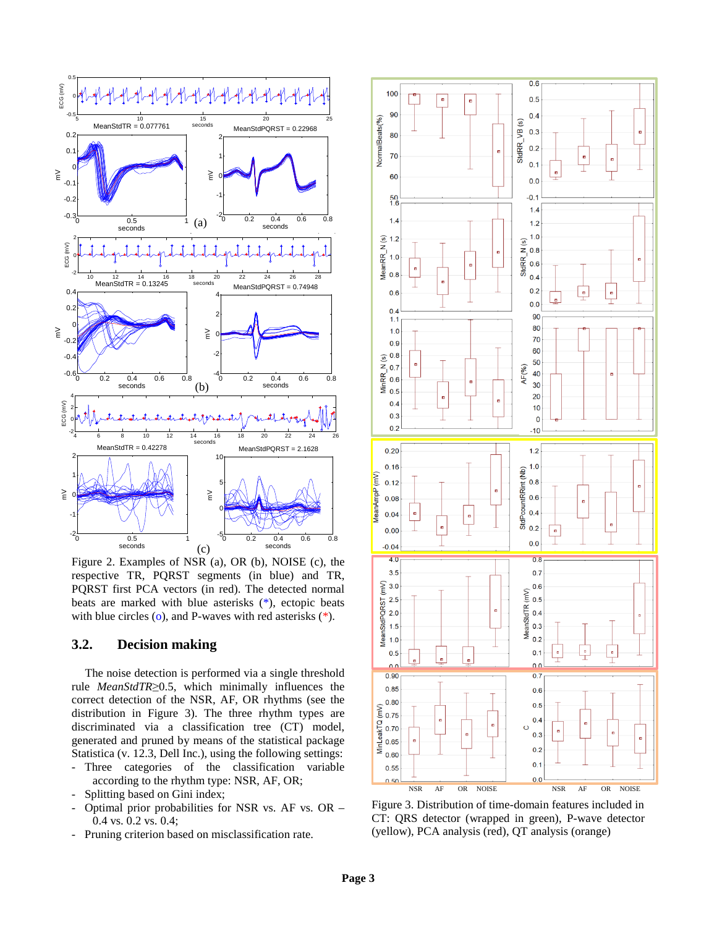

Figure 2. Examples of NSR (a), OR (b), NOISE (c), the respective TR, PQRST segments (in blue) and TR, PQRST first PCA vectors (in red). The detected normal beats are marked with blue asterisks (\*), ectopic beats with blue circles  $(o)$ , and P-waves with red asterisks  $(*)$ .

# **3.2. Decision making**

The noise detection is performed via a single threshold rule *MeanStdTR*≥0.5, which minimally influences the correct detection of the NSR, AF, OR rhythms (see the distribution in Figure 3). The three rhythm types are discriminated via a classification tree (CT) model, generated and pruned by means of the statistical package Statistica (v. 12.3, Dell Inc.), using the following settings:

- Three categories of the classification variable according to the rhythm type: NSR, AF, OR;
- Splitting based on Gini index;
- Optimal prior probabilities for NSR vs. AF vs. OR 0.4 vs. 0.2 vs. 0.4;
- Pruning criterion based on misclassification rate.



Figure 3. Distribution of time-domain features included in CT: QRS detector (wrapped in green), P-wave detector (yellow), PCA analysis (red), QT analysis (orange)